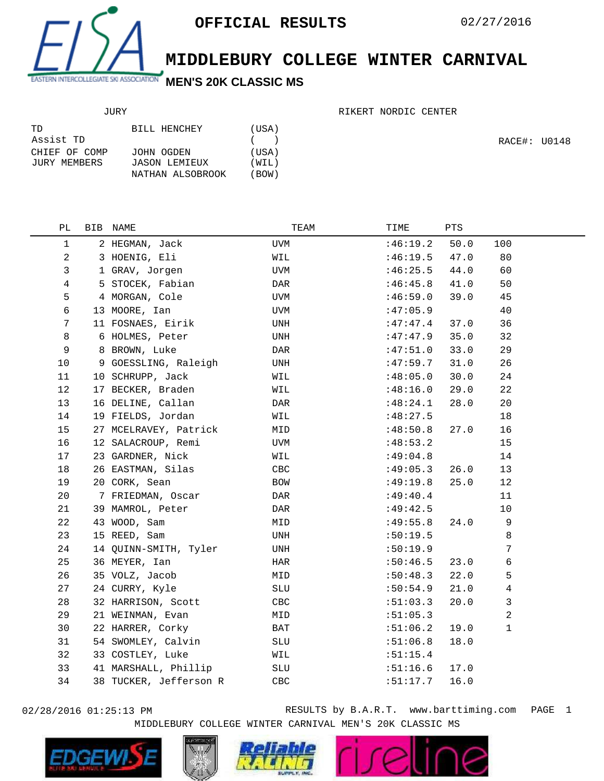

## **MIDDLEBURY COLLEGE WINTER CARNIVAL**

## JURY

## RIKERT NORDIC CENTER

| TD.           | BILL HENCHEY     | (USA) |
|---------------|------------------|-------|
| Assist TD     |                  | (     |
| CHIEF OF COMP | JOHN OGDEN       | (USA) |
| JURY MEMBERS  | JASON LEMIEUX    | (WIL) |
|               | NATHAN ALSOBROOK | (BOW) |

RACE#: U0148

| РL           | BIB NAME               | TEAM         | TIME     | PTS  |      |
|--------------|------------------------|--------------|----------|------|------|
| $\mathbf{1}$ | 2 HEGMAN, Jack         | UVM          | :46:19.2 | 50.0 | 100  |
| 2            | 3 HOENIG, Eli          | WIL          | :46:19.5 | 47.0 | 80   |
| 3            | 1 GRAV, Jorgen         | UVM          | :46:25.5 | 44.0 | 60   |
| 4            | 5 STOCEK, Fabian       | DAR          | :46:45.8 | 41.0 | 50   |
| 5            | 4 MORGAN, Cole         | UVM          | :46:59.0 | 39.0 | 45   |
| 6            | 13 MOORE, Ian          | UVM          | :47:05.9 |      | 40   |
| 7            | 11 FOSNAES, Eirik      | UNH          | :47:47.4 | 37.0 | 36   |
| 8            | 6 HOLMES, Peter        | UNH          | :47:47.9 | 35.0 | 32   |
| 9            | 8 BROWN, Luke          | DAR          | :47:51.0 | 33.0 | 29   |
| 10           | 9 GOESSLING, Raleigh   | UNH          | :47:59.7 | 31.0 | 26   |
| 11           | 10 SCHRUPP, Jack       | WIL          | :48:05.0 | 30.0 | 24   |
| 12           | 17 BECKER, Braden      | WIL          | :48:16.0 | 29.0 | 22   |
| 13           | 16 DELINE, Callan      | DAR          | :48:24.1 | 28.0 | 20   |
| 14           | 19 FIELDS, Jordan      | WIL          | :48:27.5 |      | 18   |
| 15           | 27 MCELRAVEY, Patrick  | MID          | :48:50.8 | 27.0 | 16   |
| 16           | 12 SALACROUP, Remi     | UVM          | :48:53.2 |      | 15   |
| 17           | 23 GARDNER, Nick       | WIL          | :49:04.8 |      | 14   |
| 18           | 26 EASTMAN, Silas      | CBC          | :49:05.3 | 26.0 | 13   |
| 19           | 20 CORK, Sean          | BOW          | :49:19.8 | 25.0 | 12   |
| 20           | 7 FRIEDMAN, Oscar      | DAR          | :49:40.4 |      | 11   |
| 21           | 39 MAMROL, Peter       | DAR          | :49:42.5 |      | $10$ |
| 22           | 43 WOOD, Sam           | MID          | :49:55.8 | 24.0 | 9    |
| 23           | 15 REED, Sam           | UNH          | :50:19.5 |      | 8    |
| 24           | 14 QUINN-SMITH, Tyler  | UNH          | :50:19.9 |      | 7    |
| 25           | 36 MEYER, Ian          | $_{\rm HAR}$ | :50:46.5 | 23.0 | 6    |
| 26           | 35 VOLZ, Jacob         | MID          | :50:48.3 | 22.0 | 5    |
| 27           | 24 CURRY, Kyle         | SLU          | :50:54.9 | 21.0 | 4    |
| 28           | 32 HARRISON, Scott     | CBC          | :51:03.3 | 20.0 | 3    |
| 29           | 21 WEINMAN, Evan       | MID          | :51:05.3 |      | 2    |
| 30           | 22 HARRER, Corky       | BAT          | :51:06.2 | 19.0 | 1    |
| 31           | 54 SWOMLEY, Calvin     | SLU          | :51:06.8 | 18.0 |      |
| 32           | 33 COSTLEY, Luke       | WIL          | :51:15.4 |      |      |
| 33           | 41 MARSHALL, Phillip   | SLU          | :51:16.6 | 17.0 |      |
| 34           | 38 TUCKER, Jefferson R | CBC          | :51:17.7 | 16.0 |      |
|              |                        |              |          |      |      |

02/28/2016 01:25:13 PM RESULTS by B.A.R.T. www.barttiming.com PAGE 1 MIDDLEBURY COLLEGE WINTER CARNIVAL MEN'S 20K CLASSIC MS